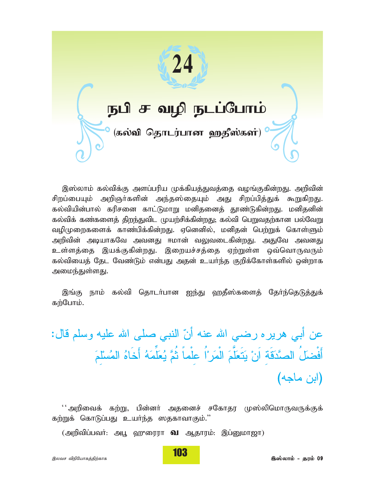

இஸ்லாம் கல்விக்கு அளப்பரிய முக்கியத்துவத்தை வழங்குகின்றது. அறிவின் சிறப்பையும் அறிஞர்களின் அந்தஸ்தையும் அது சிறப்பித்துக் கூறுகிறது. கல்வியின்பால் கரிசனை காட்டுமாறு மனிதனைத் தூண்டுகின்றது. மனிதனின் கல்விக் கண்களைத் திறந்துவிட முயற்சிக்கின்றது; கல்வி பெறுவதற்கான பல்வேறு வழிமுறைகளைக் காண்பிக்கின்றது. ஏனெனில், மனிதன் பெற்றுக் கொள்ளும் அறிவின் அடியாகவே அவனது ஈமான் வலுவடைகின்றது. அதுவே அவனது உள்ளத்தை இயக்குகின்றது. இறையச்சத்தை ஏற்றுள்ள ஒவ்வொருவரும் கல்வியைத் தேட வேண்டும் என்பது அதன் உயர்ந்த குறிக்கோள்களில் ஒன்றாக அமைந்துள்ளது.

இங்கு நாம் கல்வி கொடர்பான ஐந்து வரதீஸ்களைத் கேர்ந்தெடுத்துக் கற்போம்.

عن أبي هرير ه رضـي الله عنـه أنّ النبي صـلـى الله عليه وسلم قال: أَفْضلُ الصَّدَقَة اَنْ يَتَعَلَّمَ الْمَرَ ۢا علْماً ثُمَّ يُعَلِّمَهُ أَخَاهُ المُسْلَمَ (اين ماجه)

'' அறிவைக் கற்று, பின்னா் அதனைச் சகோதர முஸ்லிமொருவருக்குக் கற்றுக் கொடுப்பது உயர்ந்த ஸதகாவாகும்."

(அறிவிப்பவர்: அபூ ஹுரைரா **வ** ஆதாரம்: இப்னுமாஜா)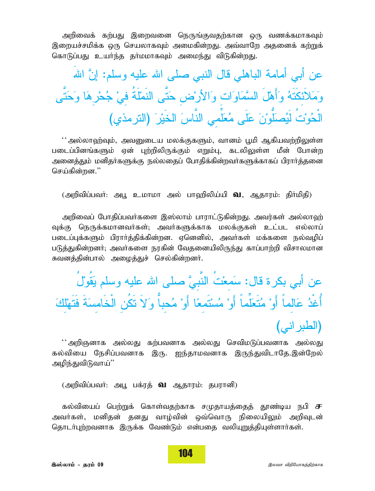அறிவைக் கற்பது இறைவனை நெருங்குவதற்கான ஒரு வணக்கமாகவும் இறையச்சமிக்க ஒரு செயலாகவும் அமைகின்றது. அவ்வாறே அதனைக் கற்றுக் கொடுப்பது உயர்ந்த தா்மமாகவும் அமைந்து விடுகின்றது.

عن أبي أمامة الباهلي قال النبي صلى الله عليه وسلم: إنَّ الله وَمَلاَئكَنَّهُ وَأَهْلَ السَّمَاوَات وَالأرْض حَتَّى النَمْلَةُ فيْ جُحْرِهَا وَحَتَّى الْحُوْتُ لَيُصلَّوْنَ عَلَى مُعَلِّمى النَّاسَ الْخَيْرَ (الترمذي)

'' அல்லாஹ்வும், அவனுடைய மலக்குகளும், வானம் பூமி ஆகியவற்றிலுள்ள படைப்பினங்களும் ஏன் புற்றிலிருக்கும் எறும்பு, கடலிலுள்ள மீன் போன்ற அனைத்தும் மனிதா்களுக்கு நல்லதைப் போதிக்கின்றவா்களுக்காகப் பிராா்த்தனை செய்கின்றன."

(அறிவிப்பவர்: அபூ உமாமா அல் பாவரிலிய்யி **வ**. ஆதாரம்: திர்மிதி)

அறிவைப் போதிப்பவா்களை இஸ்லாம் பாராட்டுகின்றது. அவர்கள் அல்லாஹ் வுக்கு நெருக்கமானவர்கள்; அவர்களுக்காக மலக்குகள் உட்பட எல்லாப் படைப்புக்களும் பிரார்த்திக்கின்றன. ஏனெனில், அவர்கள் மக்களை நல்வழிப் படுத்துகின்றனர். அவர்களை நரகின் வேதனையிலிருந்து காப்பாற்றி விசாலமான சுவனத்தின்பால் அமைத்துச் செல்கின்றனர்.

عن أبي بكرة قال: سَمعْتَ النَّبيَّ صلى الله عليه وسلم يَقُولُ أُغْدُ عَالماً أَوْ مُتَعَلِّماً أَوْ مُسْتَمِعًا أَوْ مُحباً وَلاَ تَكُنِ الْخَامِسَةَ فَتَهْلُكَ (الطبر اني)

'' அறிஞனாக அல்லது கற்பவனாக அல்லது செவிமடுப்பவனாக அல்லது கல்வியை நேசிப்பவனாக இரு. ஐந்தாமவனாக இருந்துவிடாகே.இன்றேல் அமிந்துவிடுவாய்''

(அறிவிப்பவர்: அபூ பக்ரத் **வ** ஆதாரம்: தபரானி)

கல்வியைப் பெற்றுக் கொள்வதற்காக சமுதாயத்தைத் தூண்டிய நபி **ச** அவர்கள், மனிதன் தனது வாழ்வின் ஒவ்வொரு நிலையிலும் அறிவுடன் தொடர்புற்றவனாக இருக்க வேண்டும் என்பதை வலியுறுத்தியுள்ளார்கள்.

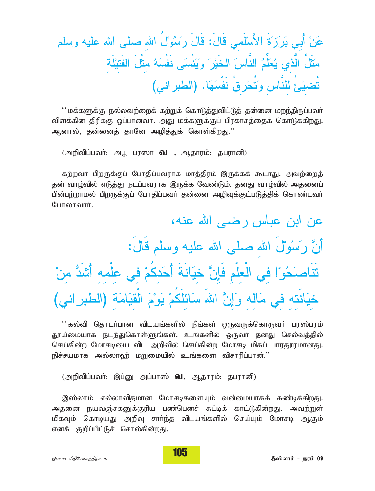عَنْ أَبِي بَرَزَةَ الأَسْلَمِي قَالَ: قَالَ رَسُوُلُ الله صلى الله عليه وسلم مَثَلُ الَّذي يُعَلِّمُ النَّاسَ الخَيْرَ وَيَنْسَى نَفْسَهُ مثْلَ الفَتيْلَة تُضيْئُ للنَّاسِ وَتُحْرِقُ نَفْسَهَا. (الطبراني)

 $\lq\cdot$ மக்களுக்கு நல்லவற்றைக் கற்றுக் கொடுத்துவிட்டுத் தன்னை மறந்திருப்பவா் விளக்கின் திரிக்கு ஒப்பானவர். அது மக்களுக்குப் பிரகாசத்தைக் கொடுக்கிறது. ஆனால், தன்னைத் தானே அழித்துக் கொள்கி<u>றது</u>.''

*(mwptpg;gtH: mg+ gu]h* t *> Mjhuk;: jguhdp)*

*fw;wtH gpwUf;Fg; Nghjpg;gtuhf khj;jpuk; ,Uf;ff; \$lhJ. mtw;iwj;* தன் வாழ்வில் எடுத்து நடப்பவராக இருக்க வேண்டும். தனது வாழ்வில் அதனைப் பின்பற்றாமல் பிறருக்குப் போதிப்பவர் தன்னை அழிவுக்குட்படுத்திக் கொண்டவர் **போலாவார்.** 

عن ابن عباس رضبي الله عنه، أَنَّ رَسُوْلُ الله صلبي الله عليه وسلم قَالُ: تَنَاصَحُوْا في الْعلْمِ فَإِنَّ خيَانَةَ أَحَدكُمْ في علْمه أَشْدُّ منْ خيَانَته في مَاله وَإِنَّ اللهَ سَائلَكُمْ يَوْمَ الْقيَامَة (الطبر اني)

 $\lq\lq$ : கல்வி தொடர்பான விடயங்களில் நீங்கள் ஒருவருக்கொருவர் பரஸ்பரம் தூய்மையாக நடந்துகொள்ளுங்கள். உங்களில் ஒருவர் தனது செல்வக்**தில்** செய்கின்ற மோசடியை விட அறிவில் செய்கின்ற மோசடி மிகப் பாரதூரமானது. நிச்சயமாக அல்லாஹ் மறுமையில் உங்களை விசாரிப்பான்."

(அறிவிப்பவர்: இப்னு அப்பாஸ் **வ**, ஆதாரம்: தபரானி)

,இஸ்லாம் எல்லாவிதமான மோசடிகளையும் வன்மையாகக் கண்டிக்கி<u>றது</u>. அதனை நயவஞ்சகனுக்குரிய பண்பெனச் சுட்டிக் காட்டுகின்றது. அவற்றுள் மிகவும் கொடியது அறிவு சார்ந்த விடயங்களில் செய்யும் மோசடி ஆகும் *எ*னக் குறிப்பிட்டுச் சொல்கின்றது.